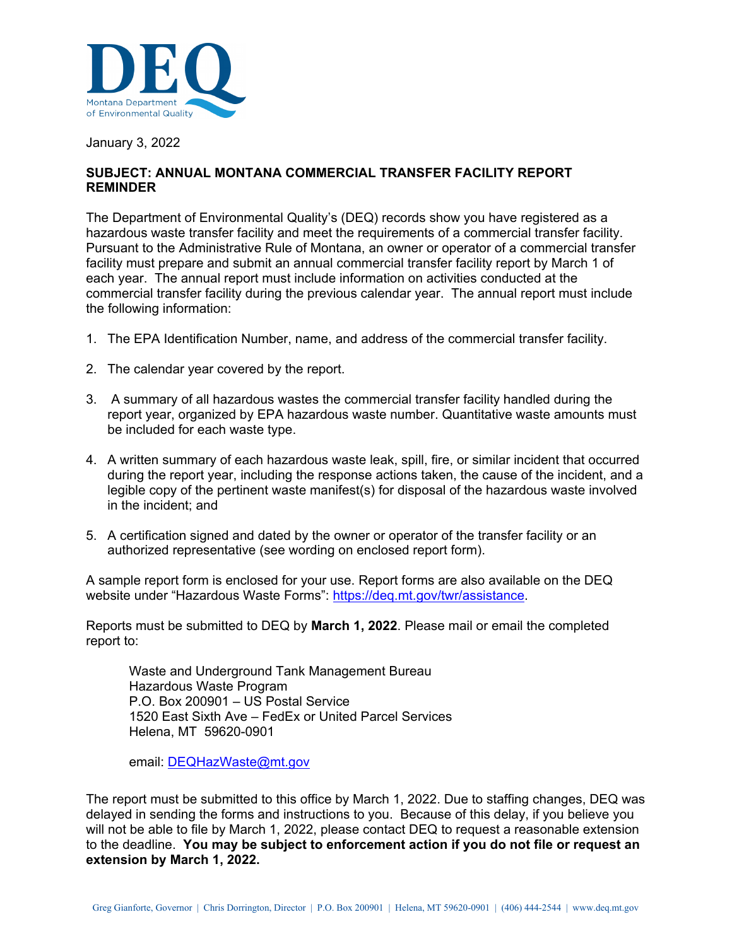

January 3, 2022

## **SUBJECT: ANNUAL MONTANA COMMERCIAL TRANSFER FACILITY REPORT REMINDER**

The Department of Environmental Quality's (DEQ) records show you have registered as a hazardous waste transfer facility and meet the requirements of a commercial transfer facility. Pursuant to the Administrative Rule of Montana, an owner or operator of a commercial transfer facility must prepare and submit an annual commercial transfer facility report by March 1 of each year. The annual report must include information on activities conducted at the commercial transfer facility during the previous calendar year. The annual report must include the following information:

- 1. The EPA Identification Number, name, and address of the commercial transfer facility.
- 2. The calendar year covered by the report.
- 3. A summary of all hazardous wastes the commercial transfer facility handled during the report year, organized by EPA hazardous waste number. Quantitative waste amounts must be included for each waste type.
- 4. A written summary of each hazardous waste leak, spill, fire, or similar incident that occurred during the report year, including the response actions taken, the cause of the incident, and a legible copy of the pertinent waste manifest(s) for disposal of the hazardous waste involved in the incident; and
- 5. A certification signed and dated by the owner or operator of the transfer facility or an authorized representative (see wording on enclosed report form).

A sample report form is enclosed for your use. Report forms are also available on the DEQ website under "Hazardous Waste Forms": https://deq.mt.gov/twr/assistance.

Reports must be submitted to DEQ by **March 1, 2022**. Please mail or email the completed report to:

Waste and Underground Tank Management Bureau Hazardous Waste Program P.O. Box 200901 – US Postal Service 1520 East Sixth Ave – FedEx or United Parcel Services Helena, MT 59620-0901

email: DEQHazWaste@mt.gov

The report must be submitted to this office by March 1, 2022. Due to staffing changes, DEQ was delayed in sending the forms and instructions to you. Because of this delay, if you believe you will not be able to file by March 1, 2022, please contact DEQ to request a reasonable extension to the deadline. **You may be subject to enforcement action if you do not file or request an extension by March 1, 2022.**